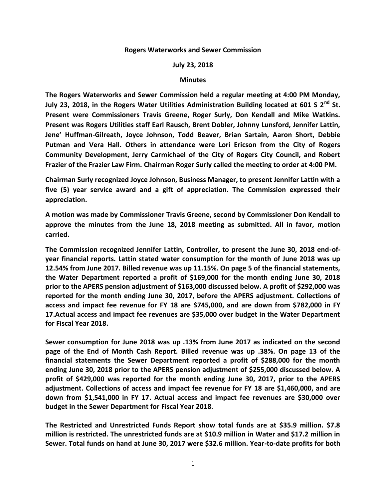## **Rogers Waterworks and Sewer Commission**

## **July 23, 2018**

## **Minutes**

**The Rogers Waterworks and Sewer Commission held a regular meeting at 4:00 PM Monday, July 23, 2018, in the Rogers Water Utilities Administration Building located at 601 S 2nd St. Present were Commissioners Travis Greene, Roger Surly, Don Kendall and Mike Watkins. Present was Rogers Utilities staff Earl Rausch, Brent Dobler, Johnny Lunsford, Jennifer Lattin, Jene' Huffman-Gilreath, Joyce Johnson, Todd Beaver, Brian Sartain, Aaron Short, Debbie Putman and Vera Hall. Others in attendance were Lori Ericson from the City of Rogers Community Development, Jerry Carmichael of the City of Rogers City Council, and Robert Frazier of the Frazier Law Firm. Chairman Roger Surly called the meeting to order at 4:00 PM.**

**Chairman Surly recognized Joyce Johnson, Business Manager, to present Jennifer Lattin with a five (5) year service award and a gift of appreciation. The Commission expressed their appreciation.** 

**A motion was made by Commissioner Travis Greene, second by Commissioner Don Kendall to approve the minutes from the June 18, 2018 meeting as submitted. All in favor, motion carried.** 

**The Commission recognized Jennifer Lattin, Controller, to present the June 30, 2018 end-ofyear financial reports. Lattin stated water consumption for the month of June 2018 was up 12.54% from June 2017. Billed revenue was up 11.15%. On page 5 of the financial statements, the Water Department reported a profit of \$169,000 for the month ending June 30, 2018 prior to the APERS pension adjustment of \$163,000 discussed below. A profit of \$292,000 was reported for the month ending June 30, 2017, before the APERS adjustment. Collections of access and impact fee revenue for FY 18 are \$745,000, and are down from \$782,000 in FY 17.Actual access and impact fee revenues are \$35,000 over budget in the Water Department for Fiscal Year 2018.**

**Sewer consumption for June 2018 was up .13% from June 2017 as indicated on the second page of the End of Month Cash Report. Billed revenue was up .38%. On page 13 of the financial statements the Sewer Department reported a profit of \$288,000 for the month ending June 30, 2018 prior to the APERS pension adjustment of \$255,000 discussed below. A profit of \$429,000 was reported for the month ending June 30, 2017, prior to the APERS adjustment. Collections of access and impact fee revenue for FY 18 are \$1,460,000, and are down from \$1,541,000 in FY 17. Actual access and impact fee revenues are \$30,000 over budget in the Sewer Department for Fiscal Year 2018**.

**The Restricted and Unrestricted Funds Report show total funds are at \$35.9 million. \$7.8 million is restricted. The unrestricted funds are at \$10.9 million in Water and \$17.2 million in Sewer. Total funds on hand at June 30, 2017 were \$32.6 million. Year-to-date profits for both**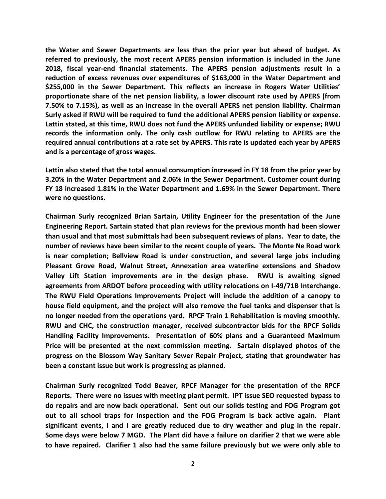**the Water and Sewer Departments are less than the prior year but ahead of budget. As referred to previously, the most recent APERS pension information is included in the June 2018, fiscal year-end financial statements. The APERS pension adjustments result in a reduction of excess revenues over expenditures of \$163,000 in the Water Department and \$255,000 in the Sewer Department. This reflects an increase in Rogers Water Utilities' proportionate share of the net pension liability, a lower discount rate used by APERS (from 7.50% to 7.15%), as well as an increase in the overall APERS net pension liability. Chairman Surly asked if RWU will be required to fund the additional APERS pension liability or expense. Lattin stated, at this time, RWU does not fund the APERS unfunded liability or expense; RWU records the information only. The only cash outflow for RWU relating to APERS are the required annual contributions at a rate set by APERS. This rate is updated each year by APERS and is a percentage of gross wages.**

**Lattin also stated that the total annual consumption increased in FY 18 from the prior year by 3.20% in the Water Department and 2.06% in the Sewer Department. Customer count during FY 18 increased 1.81% in the Water Department and 1.69% in the Sewer Department. There were no questions.** 

**Chairman Surly recognized Brian Sartain, Utility Engineer for the presentation of the June Engineering Report. Sartain stated that plan reviews for the previous month had been slower than usual and that most submittals had been subsequent reviews of plans. Year to date, the number of reviews have been similar to the recent couple of years. The Monte Ne Road work is near completion; Bellview Road is under construction, and several large jobs including Pleasant Grove Road, Walnut Street, Annexation area waterline extensions and Shadow Valley Lift Station improvements are in the design phase. RWU is awaiting signed agreements from ARDOT before proceeding with utility relocations on I-49/71B Interchange. The RWU Field Operations Improvements Project will include the addition of a canopy to house field equipment, and the project will also remove the fuel tanks and dispenser that is no longer needed from the operations yard. RPCF Train 1 Rehabilitation is moving smoothly. RWU and CHC, the construction manager, received subcontractor bids for the RPCF Solids Handling Facility Improvements. Presentation of 60% plans and a Guaranteed Maximum Price will be presented at the next commission meeting. Sartain displayed photos of the progress on the Blossom Way Sanitary Sewer Repair Project, stating that groundwater has been a constant issue but work is progressing as planned.**

**Chairman Surly recognized Todd Beaver, RPCF Manager for the presentation of the RPCF Reports. There were no issues with meeting plant permit. IPT issue SEO requested bypass to do repairs and are now back operational. Sent out our solids testing and FOG Program got out to all school traps for inspection and the FOG Program is back active again. Plant significant events, I and I are greatly reduced due to dry weather and plug in the repair. Some days were below 7 MGD. The Plant did have a failure on clarifier 2 that we were able to have repaired. Clarifier 1 also had the same failure previously but we were only able to**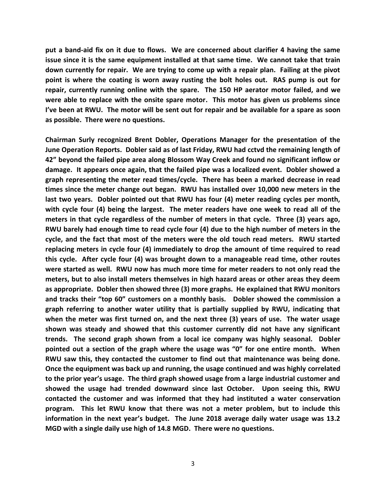**put a band-aid fix on it due to flows. We are concerned about clarifier 4 having the same issue since it is the same equipment installed at that same time. We cannot take that train down currently for repair. We are trying to come up with a repair plan. Failing at the pivot point is where the coating is worn away rusting the bolt holes out. RAS pump is out for repair, currently running online with the spare. The 150 HP aerator motor failed, and we were able to replace with the onsite spare motor. This motor has given us problems since I've been at RWU. The motor will be sent out for repair and be available for a spare as soon as possible. There were no questions.**

**Chairman Surly recognized Brent Dobler, Operations Manager for the presentation of the June Operation Reports. Dobler said as of last Friday, RWU had cctvd the remaining length of 42" beyond the failed pipe area along Blossom Way Creek and found no significant inflow or damage. It appears once again, that the failed pipe was a localized event. Dobler showed a graph representing the meter read times/cycle. There has been a marked decrease in read times since the meter change out began. RWU has installed over 10,000 new meters in the last two years. Dobler pointed out that RWU has four (4) meter reading cycles per month, with cycle four (4) being the largest. The meter readers have one week to read all of the meters in that cycle regardless of the number of meters in that cycle. Three (3) years ago, RWU barely had enough time to read cycle four (4) due to the high number of meters in the cycle, and the fact that most of the meters were the old touch read meters. RWU started replacing meters in cycle four (4) immediately to drop the amount of time required to read this cycle. After cycle four (4) was brought down to a manageable read time, other routes were started as well. RWU now has much more time for meter readers to not only read the meters, but to also install meters themselves in high hazard areas or other areas they deem as appropriate. Dobler then showed three (3) more graphs. He explained that RWU monitors and tracks their "top 60" customers on a monthly basis. Dobler showed the commission a graph referring to another water utility that is partially supplied by RWU, indicating that when the meter was first turned on, and the next three (3) years of use. The water usage shown was steady and showed that this customer currently did not have any significant trends. The second graph shown from a local ice company was highly seasonal. Dobler pointed out a section of the graph where the usage was "0" for one entire month. When RWU saw this, they contacted the customer to find out that maintenance was being done. Once the equipment was back up and running, the usage continued and was highly correlated to the prior year's usage. The third graph showed usage from a large industrial customer and showed the usage had trended downward since last October. Upon seeing this, RWU contacted the customer and was informed that they had instituted a water conservation program. This let RWU know that there was not a meter problem, but to include this information in the next year's budget. The June 2018 average daily water usage was 13.2 MGD with a single daily use high of 14.8 MGD. There were no questions.**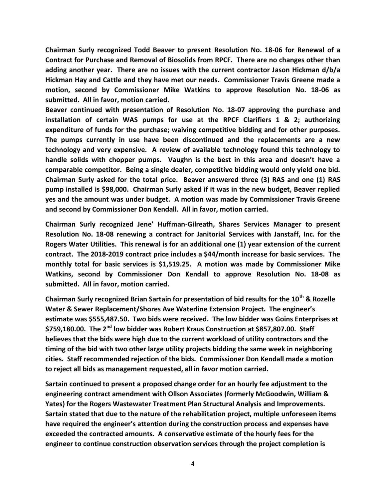**Chairman Surly recognized Todd Beaver to present Resolution No. 18-06 for Renewal of a Contract for Purchase and Removal of Biosolids from RPCF. There are no changes other than adding another year. There are no issues with the current contractor Jason Hickman d/b/a Hickman Hay and Cattle and they have met our needs. Commissioner Travis Greene made a motion, second by Commissioner Mike Watkins to approve Resolution No. 18-06 as submitted. All in favor, motion carried.**

**Beaver continued with presentation of Resolution No. 18-07 approving the purchase and installation of certain WAS pumps for use at the RPCF Clarifiers 1 & 2; authorizing expenditure of funds for the purchase; waiving competitive bidding and for other purposes. The pumps currently in use have been discontinued and the replacements are a new technology and very expensive. A review of available technology found this technology to handle solids with chopper pumps. Vaughn is the best in this area and doesn't have a comparable competitor. Being a single dealer, competitive bidding would only yield one bid. Chairman Surly asked for the total price. Beaver answered three (3) RAS and one (1) RAS pump installed is \$98,000. Chairman Surly asked if it was in the new budget, Beaver replied yes and the amount was under budget. A motion was made by Commissioner Travis Greene and second by Commissioner Don Kendall. All in favor, motion carried.**

**Chairman Surly recognized Jene' Huffman-Gilreath, Shares Services Manager to present Resolution No. 18-08 renewing a contract for Janitorial Services with Janstaff, Inc. for the Rogers Water Utilities. This renewal is for an additional one (1) year extension of the current contract. The 2018-2019 contract price includes a \$44/month increase for basic services. The monthly total for basic services is \$1,519.25. A motion was made by Commissioner Mike Watkins, second by Commissioner Don Kendall to approve Resolution No. 18-08 as submitted. All in favor, motion carried.**

**Chairman Surly recognized Brian Sartain for presentation of bid results for the 10th & Rozelle Water & Sewer Replacement/Shores Ave Waterline Extension Project. The engineer's estimate was \$555,487.50. Two bids were received. The low bidder was Goins Enterprises at \$759,180.00. The 2nd low bidder was Robert Kraus Construction at \$857,807.00. Staff believes that the bids were high due to the current workload of utility contractors and the timing of the bid with two other large utility projects bidding the same week in neighboring cities. Staff recommended rejection of the bids. Commissioner Don Kendall made a motion to reject all bids as management requested, all in favor motion carried.**

**Sartain continued to present a proposed change order for an hourly fee adjustment to the engineering contract amendment with Ollson Associates (formerly McGoodwin, William & Yates) for the Rogers Wastewater Treatment Plan Structural Analysis and Improvements. Sartain stated that due to the nature of the rehabilitation project, multiple unforeseen items have required the engineer's attention during the construction process and expenses have exceeded the contracted amounts. A conservative estimate of the hourly fees for the engineer to continue construction observation services through the project completion is**